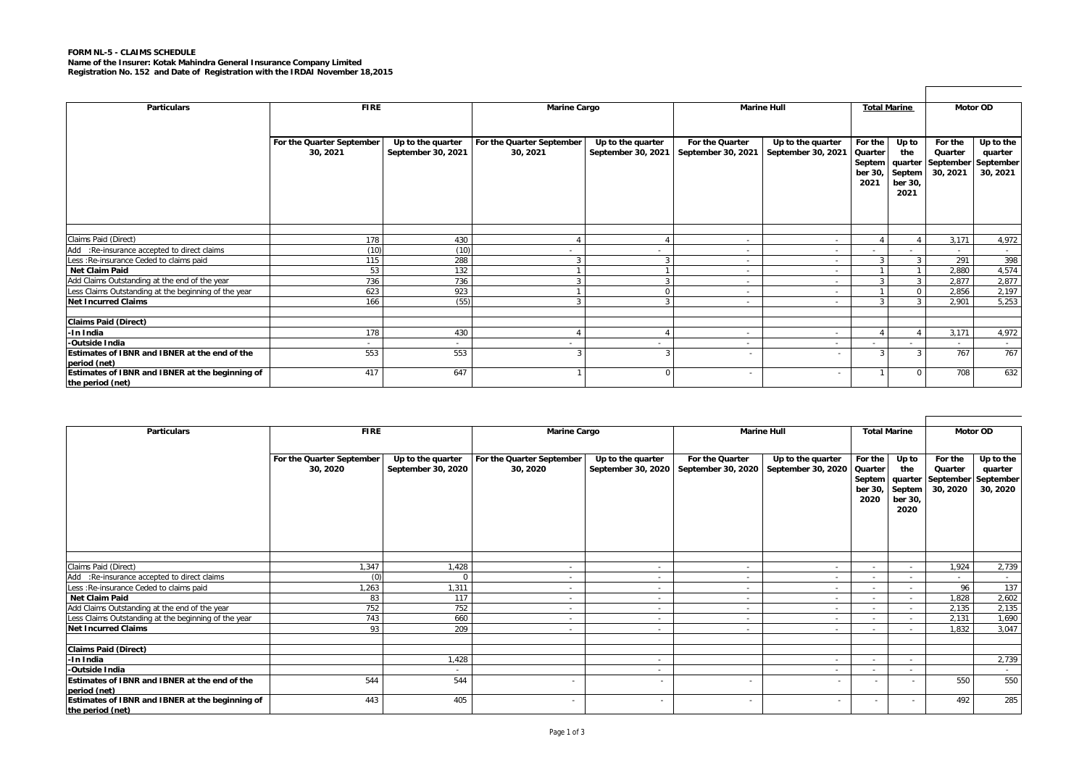## **FORM NL-5 - CLAIMS SCHEDULE**

**Name of the Insurer: Kotak Mahindra General Insurance Company Limited Registration No. 152 and Date of Registration with the IRDAI November 18,2015**

|                                                      | <b>Marine Hull</b>        |                    |                           |                    |                          |                    |                     |                   |           |           |  |  |
|------------------------------------------------------|---------------------------|--------------------|---------------------------|--------------------|--------------------------|--------------------|---------------------|-------------------|-----------|-----------|--|--|
| <b>Particulars</b>                                   | <b>FIRE</b>               |                    | <b>Marine Cargo</b>       |                    |                          |                    | <b>Total Marine</b> |                   |           | Motor OD  |  |  |
|                                                      |                           |                    |                           |                    |                          |                    |                     |                   |           |           |  |  |
|                                                      | For the Quarter September | Up to the quarter  | For the Quarter September | Up to the quarter  | For the Quarter          | Up to the quarter  | For the             | Up to             | For the   | Up to the |  |  |
|                                                      | 30, 2021                  | September 30, 2021 | 30, 2021                  | September 30, 2021 | September 30, 2021       | September 30, 2021 | Quarter             | the               | Quarter   | quarter   |  |  |
|                                                      |                           |                    |                           |                    |                          |                    | Septem              | quarter           | September | September |  |  |
|                                                      |                           |                    |                           |                    |                          |                    | ber 30,<br>2021     | Septem<br>ber 30, | 30, 2021  | 30, 2021  |  |  |
|                                                      |                           |                    |                           |                    |                          |                    |                     | 2021              |           |           |  |  |
|                                                      |                           |                    |                           |                    |                          |                    |                     |                   |           |           |  |  |
|                                                      |                           |                    |                           |                    |                          |                    |                     |                   |           |           |  |  |
|                                                      |                           |                    |                           |                    |                          |                    |                     |                   |           |           |  |  |
| Claims Paid (Direct)                                 | 178                       | 430                |                           |                    | $\sim$                   | $\sim$             |                     |                   | 3,171     | 4,972     |  |  |
| Add :Re-insurance accepted to direct claims          | (10)                      | (10)               |                           |                    | $\sim$                   | $\sim$             |                     |                   | $\sim$    | $\sim$    |  |  |
| Less : Re-insurance Ceded to claims paid             | 115                       | 288                | 3                         |                    | $\sim$                   | $\sim$             | $\mathbf{z}$        | 3                 | 291       | 398       |  |  |
| Net Claim Paid                                       | 53                        | 132                |                           |                    | $\sim$                   | ٠                  |                     |                   | 2,880     | 4,574     |  |  |
| Add Claims Outstanding at the end of the year        | 736                       | 736                | 3                         |                    | $\sim$                   | $\sim$             |                     | 3                 | 2,877     | 2,877     |  |  |
| Less Claims Outstanding at the beginning of the year | 623                       | 923                |                           |                    | $\sim$                   | $\sim$             |                     | $\mathbf 0$       | 2,856     | 2,197     |  |  |
| <b>Net Incurred Claims</b>                           | 166                       | (55)               | 3                         |                    | $\sim$                   | $\sim$             |                     | 3                 | 2,901     | 5,253     |  |  |
|                                                      |                           |                    |                           |                    |                          |                    |                     |                   |           |           |  |  |
| Claims Paid (Direct)                                 |                           |                    |                           |                    |                          |                    |                     |                   |           |           |  |  |
| -In India                                            | 178                       | 430                |                           |                    | $\sim$                   | $\sim$             |                     |                   | 3,171     | 4,972     |  |  |
| -Outside India                                       |                           | $\sim$             | $\sim$                    | $\sim$             | $\sim$                   | . —                |                     | $\sim$            | . —       | $\sim$    |  |  |
| Estimates of IBNR and IBNER at the end of the        | 553                       | 553                | 3                         |                    | $\overline{\phantom{a}}$ |                    | 3                   | 3                 | 767       | 767       |  |  |
| period (net)                                         |                           |                    |                           |                    |                          |                    |                     |                   |           |           |  |  |
| Estimates of IBNR and IBNER at the beginning of      | 417                       | 647                |                           | O                  | $\overline{\phantom{a}}$ | ٠                  |                     | $\Omega$          | 708       | 632       |  |  |
| the period (net)                                     |                           |                    |                           |                    |                          |                    |                     |                   |           |           |  |  |

 $\Gamma$ 

 $\mathbf{r}$ 

| <b>Particulars</b>                                                  | <b>FIRE</b>                           |                                         | <b>Marine Cargo</b>                   |                                         |                                       | <b>Marine Hull</b>                      | <b>Total Marine</b>                             |                                           |                                                               | Motor OD                         |
|---------------------------------------------------------------------|---------------------------------------|-----------------------------------------|---------------------------------------|-----------------------------------------|---------------------------------------|-----------------------------------------|-------------------------------------------------|-------------------------------------------|---------------------------------------------------------------|----------------------------------|
|                                                                     | For the Quarter September<br>30, 2020 | Up to the quarter<br>September 30, 2020 | For the Quarter September<br>30, 2020 | Up to the quarter<br>September 30, 2020 | For the Quarter<br>September 30, 2020 | Up to the quarter<br>September 30, 2020 | For the<br>Quarter<br>Septem<br>ber 30,<br>2020 | Up to<br>the<br>Septem<br>ber 30,<br>2020 | For the<br>Quarter<br>quarter September September<br>30, 2020 | Up to the<br>quarter<br>30, 2020 |
|                                                                     |                                       |                                         |                                       |                                         |                                       |                                         |                                                 |                                           |                                                               |                                  |
| Claims Paid (Direct)                                                | 1,347                                 | 1.428                                   | $\overline{\phantom{a}}$              | $\sim$                                  | $\sim$                                | $\sim$                                  |                                                 | $\sim$                                    | 1,924                                                         | 2,739                            |
| Add :Re-insurance accepted to direct claims                         |                                       |                                         | $\overline{\phantom{a}}$              | $\sim$                                  | $\sim$                                | $\sim$                                  |                                                 | $\sim$                                    | $\sim$                                                        | $\sim$                           |
| Less : Re-insurance Ceded to claims paid                            | 1,263                                 | 1,311                                   | $\overline{\phantom{a}}$              | $\sim$                                  | $\sim$                                | $\sim$                                  |                                                 | $\sim$                                    | 96                                                            | 137                              |
| Net Claim Paid                                                      | 83                                    | 117                                     | $\overline{\phantom{a}}$              | $\sim$                                  | $\sim$                                | $\sim$                                  |                                                 | $\sim$                                    | 1,828                                                         | 2,602                            |
| Add Claims Outstanding at the end of the year                       | 752                                   | 752                                     | $\overline{\phantom{a}}$              | $\sim$                                  | $\sim$                                | $\sim$                                  |                                                 |                                           | 2,135                                                         | 2,135                            |
| Less Claims Outstanding at the beginning of the year                | 743                                   | 660                                     | $\overline{\phantom{a}}$              | $\sim$                                  | $\overline{\phantom{a}}$              |                                         |                                                 |                                           | 2,131                                                         | 1,690                            |
| Net Incurred Claims                                                 | 93                                    | 209                                     | $\overline{\phantom{a}}$              | $\sim$                                  | $\sim$                                | $\sim$                                  |                                                 | $\sim$                                    | 1,832                                                         | 3,047                            |
|                                                                     |                                       |                                         |                                       |                                         |                                       |                                         |                                                 |                                           |                                                               |                                  |
| <b>Claims Paid (Direct)</b>                                         |                                       |                                         |                                       |                                         |                                       |                                         |                                                 |                                           |                                                               |                                  |
| -In India                                                           |                                       | 1,428                                   |                                       | $\overline{\phantom{a}}$                |                                       |                                         | . .                                             | $\sim$                                    |                                                               | 2,739                            |
| -Outside India                                                      |                                       | $\sim$                                  |                                       | $\sim$                                  |                                       | $\sim$                                  |                                                 | $\sim$                                    |                                                               | $\sim$ $-$                       |
| Estimates of IBNR and IBNER at the end of the<br>period (net)       | 544                                   | 544                                     |                                       | . .                                     | $\sim$                                | $\sim$                                  | $\sim$                                          | $\sim$                                    | 550                                                           | 550                              |
| Estimates of IBNR and IBNER at the beginning of<br>the period (net) | 443                                   | 405                                     | $\sim$                                | $\sim$                                  | $\sim$                                | $\sim$                                  | $\sim$                                          | $\sim$                                    | 492                                                           | 285                              |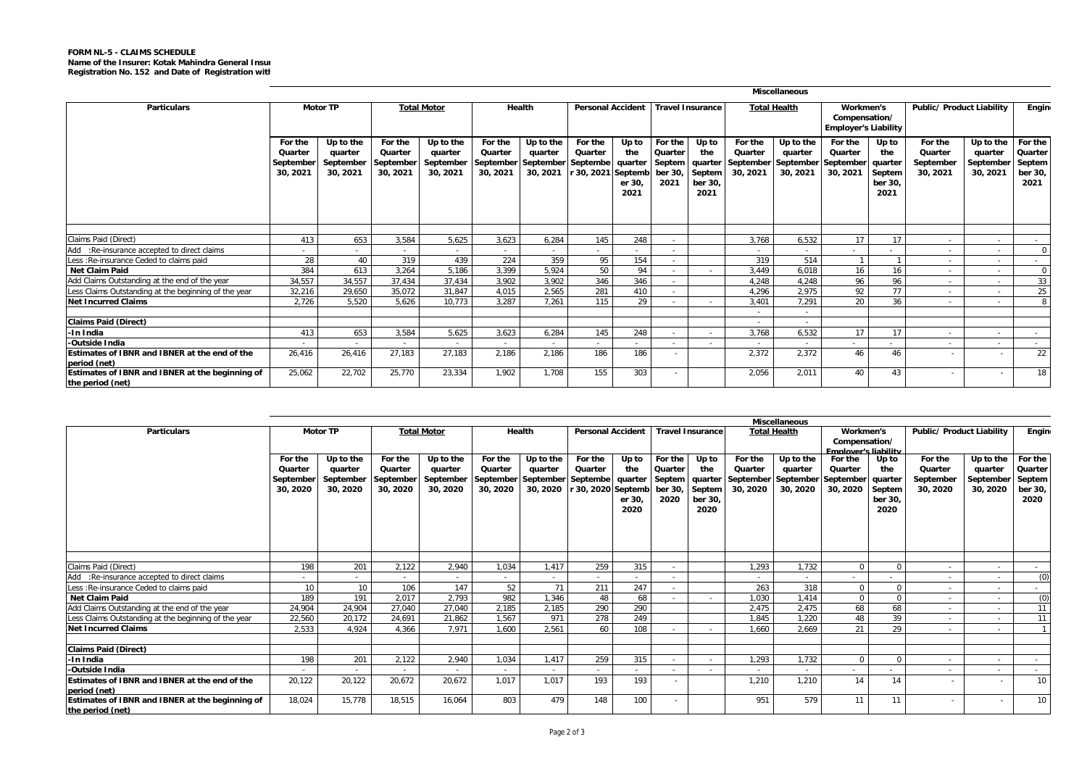## **FORM NL-5 - CLAIMS SCHEDULE Name of the Insurer: Kotak Mahindra General Insur Registration No. 152 and Date of Registration with**

|                                                                                         | <b>Miscellaneous</b>                        |                                               |                                             |                                               |                                |                                                         |                                                              |                                |                                                 |                                           |                                                                               |                                  |                                                           |                                                      |                                             |                                               |                                                 |
|-----------------------------------------------------------------------------------------|---------------------------------------------|-----------------------------------------------|---------------------------------------------|-----------------------------------------------|--------------------------------|---------------------------------------------------------|--------------------------------------------------------------|--------------------------------|-------------------------------------------------|-------------------------------------------|-------------------------------------------------------------------------------|----------------------------------|-----------------------------------------------------------|------------------------------------------------------|---------------------------------------------|-----------------------------------------------|-------------------------------------------------|
| <b>Particulars</b>                                                                      |                                             | <b>Motor TP</b>                               | <b>Total Motor</b>                          |                                               | Health                         |                                                         | <b>Personal Accident</b>                                     |                                | <b>Travel Insurance</b>                         |                                           | <b>Total Health</b>                                                           |                                  | Workmen's<br>Compensation/<br><b>Employer's Liability</b> |                                                      | <b>Public/ Product Liability</b>            |                                               | <b>Engin</b>                                    |
|                                                                                         | For the<br>Quarter<br>September<br>30, 2021 | Up to the<br>quarter<br>September<br>30, 2021 | For the<br>Quarter<br>September<br>30, 2021 | Up to the<br>quarter<br>September<br>30, 2021 | For the<br>Quarter<br>30, 2021 | Up to the<br>quarter<br>September September<br>30, 2021 | For the<br>Quarter<br>Septembe quarter<br>r 30, 2021 Septemb | Up to<br>the<br>er 30.<br>2021 | For the<br>Quarter<br>Septem<br>ber 30,<br>2021 | Up to<br>the<br>Septem<br>ber 30,<br>2021 | For the<br>Quarter<br>quarter   September   September   September<br>30, 2021 | Up to the<br>quarter<br>30, 2021 | For the<br>Quarter<br>30, 2021                            | Up to<br>the<br>quarter<br>Septem<br>ber 30,<br>2021 | For the<br>Quarter<br>September<br>30, 2021 | Up to the<br>quarter<br>September<br>30, 2021 | For the<br>Quarter<br>Septem<br>ber 30.<br>2021 |
|                                                                                         |                                             |                                               |                                             |                                               |                                |                                                         |                                                              |                                |                                                 |                                           |                                                                               |                                  |                                                           |                                                      |                                             |                                               |                                                 |
| Claims Paid (Direct)                                                                    | 413                                         | 653                                           | 3.584                                       | 5.625                                         | 3.623                          | 6.284                                                   | 145                                                          | 248                            |                                                 |                                           | 3.768                                                                         | 6.532                            | 17                                                        | 17                                                   |                                             | $\sim$                                        |                                                 |
| Add :Re-insurance accepted to direct claims<br>Less : Re-insurance Ceded to claims paid | 28                                          | 40                                            | . .<br>319                                  | $\sim$<br>439                                 | $\sim$<br>224                  | $\sim$<br>359                                           | $\sim$<br>95                                                 | $\sim$<br>154                  | <b>A</b>                                        |                                           | $\sim$<br>319                                                                 | $\sim$<br>514                    | ٠                                                         |                                                      |                                             | $\sim$                                        | $\Omega$                                        |
| <b>Net Claim Paid</b>                                                                   | 384                                         | 613                                           | 3.264                                       | 5.186                                         | 3,399                          | 5,924                                                   | 50                                                           | 94                             | $\sim$                                          |                                           | 3,449                                                                         | 6.018                            | 16                                                        | 16                                                   |                                             |                                               | $\Omega$                                        |
| Add Claims Outstanding at the end of the year                                           | 34,557                                      | 34.557                                        | 37.434                                      | 37.434                                        | 3.902                          | 3.902                                                   | 346                                                          | 346                            | $\sim$                                          |                                           | 4.248                                                                         | 4.248                            | 96                                                        | 96                                                   |                                             | $\sim$                                        | 33                                              |
| Less Claims Outstanding at the beginning of the year                                    | 32.216                                      | 29.650                                        | 35.072                                      | 31,847                                        | 4.015                          | 2.565                                                   | 281                                                          | 410                            | $\sim$                                          |                                           | 4.296                                                                         | 2.975                            | 92                                                        | 77                                                   |                                             | $\overline{\phantom{a}}$<br>$\sim$            | 25                                              |
| <b>Net Incurred Claims</b>                                                              | 2,726                                       | 5.520                                         | 5.626                                       | 10.773                                        | 3.287                          | 7.261                                                   | 115                                                          | 29                             | <b>All Co</b>                                   |                                           | 3.401                                                                         | 7,291                            | 20                                                        | 36                                                   |                                             | $\sim$                                        | 8                                               |
|                                                                                         |                                             |                                               |                                             |                                               |                                |                                                         |                                                              |                                |                                                 |                                           | ٠                                                                             | $\sim$                           |                                                           |                                                      |                                             |                                               |                                                 |
| <b>Claims Paid (Direct)</b>                                                             |                                             |                                               |                                             |                                               |                                |                                                         |                                                              |                                |                                                 |                                           | ٠                                                                             | $\sim$                           |                                                           |                                                      |                                             |                                               |                                                 |
| -In India                                                                               | 413                                         | 653                                           | 3,584                                       | 5,625                                         | 3,623                          | 6,284                                                   | 145                                                          | 248                            | <b>A</b>                                        |                                           | 3,768                                                                         | 6,532                            | 17                                                        | 17                                                   |                                             | $\sim$                                        |                                                 |
| -Outside India                                                                          |                                             |                                               | . .                                         |                                               |                                | $\sim$                                                  | $\sim$                                                       | $\sim$                         | <b>A</b>                                        | $\sim$                                    | $\sim$                                                                        |                                  | $\sim$                                                    | $\sim$                                               |                                             | $\sim$                                        |                                                 |
| Estimates of IBNR and IBNER at the end of the<br>period (net)                           | 26.416                                      | 26.416                                        | 27.183                                      | 27.183                                        | 2,186                          | 2.186                                                   | 186                                                          | 186                            | $\sim$                                          |                                           | 2,372                                                                         | 2,372                            | 46                                                        | 46                                                   |                                             | $\overline{\phantom{a}}$                      | 22                                              |
| Estimates of IBNR and IBNER at the beginning of<br>the period (net)                     | 25,062                                      | 22,702                                        | 25,770                                      | 23,334                                        | 1.902                          | 1.708                                                   | 155                                                          | 303                            | <b>110</b>                                      |                                           | 2.056                                                                         | 2.011                            | 40                                                        | 43                                                   |                                             | $\sim$                                        | 18                                              |

|                                                                     |                                             |                                               |                                             |                                               |                                |                                                                  |                                                  |                                           |                                      |                                           |                                                     | <b>Miscellaneous</b>                                    |                                |                                                      |                                             |                                               |                                                 |
|---------------------------------------------------------------------|---------------------------------------------|-----------------------------------------------|---------------------------------------------|-----------------------------------------------|--------------------------------|------------------------------------------------------------------|--------------------------------------------------|-------------------------------------------|--------------------------------------|-------------------------------------------|-----------------------------------------------------|---------------------------------------------------------|--------------------------------|------------------------------------------------------|---------------------------------------------|-----------------------------------------------|-------------------------------------------------|
| <b>Particulars</b>                                                  | <b>Motor TP</b>                             |                                               |                                             | <b>Total Motor</b><br>Health                  |                                |                                                                  | <b>Personal Accident</b>                         |                                           |                                      | <b>Travel Insurance</b>                   |                                                     | <b>Total Health</b>                                     |                                | Workmen's<br>Compensation/                           | Public/ Product Liability                   |                                               | Engin                                           |
|                                                                     |                                             |                                               |                                             |                                               |                                |                                                                  |                                                  |                                           |                                      |                                           |                                                     |                                                         | <b>Employer's liability</b>    |                                                      |                                             |                                               |                                                 |
|                                                                     | For the<br>Quarter<br>September<br>30, 2020 | Up to the<br>quarter<br>September<br>30, 2020 | For the<br>Quarter<br>September<br>30, 2020 | Up to the<br>quarter<br>September<br>30, 2020 | For the<br>Quarter<br>30, 2020 | Up to the<br>quarter<br>September September Septembe<br>30, 2020 | For the<br>Quarter<br>r 30, 2020 Septemb ber 30, | Up to<br>the<br>quarter<br>er 30.<br>2020 | For the<br>Quarter<br>Septem<br>2020 | Up to<br>the<br>Septem<br>ber 30.<br>2020 | For the<br>Quarter<br>quarter September<br>30, 2020 | Up to the<br>quarter<br>September September<br>30, 2020 | For the<br>Quarter<br>30, 2020 | Up to<br>the<br>quarter<br>Septem<br>ber 30.<br>2020 | For the<br>Quarter<br>September<br>30, 2020 | Up to the<br>quarter<br>September<br>30, 2020 | For the<br>Quarter<br>Septem<br>ber 30,<br>2020 |
|                                                                     |                                             |                                               |                                             |                                               |                                |                                                                  |                                                  |                                           |                                      |                                           |                                                     |                                                         |                                |                                                      |                                             |                                               |                                                 |
| Claims Paid (Direct)                                                | 198                                         | 201                                           | 2.122                                       | 2.940                                         | 1.034                          | 1.417                                                            | 259                                              | 315                                       | $\sim$                               |                                           | 1.293                                               | 1.732                                                   | $\Omega$                       |                                                      |                                             | $\sim$                                        | $\sim$                                          |
| Add :Re-insurance accepted to direct claims                         |                                             | $\sim$                                        | $\sim$                                      | $\sim$                                        | $\sim$                         | $\sim$                                                           | $\sim$                                           | $\sim$                                    | <b>A</b>                             |                                           | $\sim$                                              | . —                                                     | $\sim$                         |                                                      |                                             |                                               | (0)                                             |
| Less : Re-insurance Ceded to claims paid                            | 10                                          | 10                                            | 106                                         | 147                                           | 52                             | 71                                                               | 211                                              | 247                                       | $\sim$                               |                                           | 263                                                 | 318                                                     | $\Omega$                       |                                                      |                                             | $\sim$                                        |                                                 |
| <b>Net Claim Paid</b>                                               | 189                                         | 191                                           | 2.017                                       | 2.793                                         | 982                            | 1.346                                                            | 48                                               | 68                                        |                                      |                                           | 1.030                                               | 1.414                                                   | $\mathbf 0$                    | $\Omega$                                             |                                             | $\sim$                                        | (0)                                             |
| Add Claims Outstanding at the end of the year                       | 24,904                                      | 24.904                                        | 27.040                                      | 27.040                                        | 2.185                          | 2.185                                                            | 290                                              | 290                                       |                                      |                                           | 2.475                                               | 2.475                                                   | 68                             | 68                                                   |                                             | $\sim$                                        | 11                                              |
| Less Claims Outstanding at the beginning of the year                | 22,560                                      | 20.172                                        | 24,691                                      | 21,862                                        | 1,567                          | 971                                                              | 278                                              | 249                                       |                                      |                                           | 1.845                                               | 1.220                                                   | 48                             | 39                                                   |                                             |                                               | 11                                              |
| <b>Net Incurred Claims</b>                                          | 2,533                                       | 4.924                                         | 4.366                                       | 7.971                                         | 1.600                          | 2.561                                                            | 60                                               | 108                                       |                                      |                                           | 1.660                                               | 2.669                                                   | 21                             | 29                                                   |                                             |                                               |                                                 |
| <b>Claims Paid (Direct)</b>                                         |                                             |                                               |                                             |                                               |                                |                                                                  |                                                  |                                           |                                      |                                           |                                                     |                                                         |                                |                                                      |                                             |                                               |                                                 |
| -In India                                                           | 198                                         | 201                                           | 2.122                                       | 2.940                                         | 1.034                          | 1.417                                                            | 259                                              | 315                                       | . н. н.                              |                                           | 1.293                                               | 1.732                                                   | $\Omega$                       |                                                      |                                             | . п.                                          | $\sim$                                          |
| -Outside India                                                      |                                             |                                               |                                             |                                               |                                |                                                                  |                                                  |                                           |                                      |                                           |                                                     |                                                         |                                |                                                      |                                             |                                               |                                                 |
| Estimates of IBNR and IBNER at the end of the<br>period (net)       | 20,122                                      | 20,122                                        | 20,672                                      | 20,672                                        | 1.017                          | 1.017                                                            | 193                                              | 193                                       | $\sim$                               |                                           | 1.210                                               | 1.210                                                   | 14                             | 14                                                   |                                             | ۰                                             | 10 <sup>1</sup>                                 |
| Estimates of IBNR and IBNER at the beginning of<br>the period (net) | 18.024                                      | 15.778                                        | 18.515                                      | 16.064                                        | 803                            | 479                                                              | 148                                              | 100                                       | $\sim$                               |                                           | 951                                                 | 579                                                     | 11                             | 11                                                   |                                             |                                               | 10                                              |